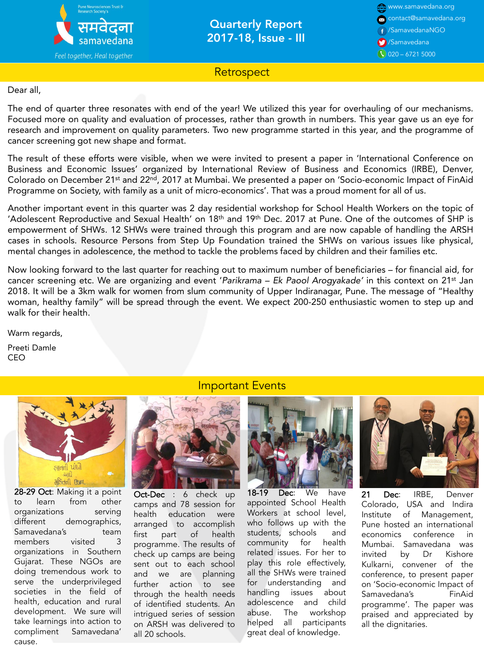

Quarterly Report 2017-18, Issue - III www.samavedana.org contact@samavedana.org /SamavedanaNGO /Samavedana  $\bigcirc$  020 – 6721 5000

Retrospect

## Dear all,

The end of quarter three resonates with end of the year! We utilized this year for overhauling of our mechanisms. Focused more on quality and evaluation of processes, rather than growth in numbers. This year gave us an eye for research and improvement on quality parameters. Two new programme started in this year, and the programme of cancer screening got new shape and format.

The result of these efforts were visible, when we were invited to present a paper in 'International Conference on Business and Economic Issues' organized by International Review of Business and Economics (IRBE), Denver, Colorado on December 21<sup>st</sup> and 22<sup>nd</sup>, 2017 at Mumbai. We presented a paper on 'Socio-economic Impact of FinAid Programme on Society, with family as a unit of micro-economics'. That was a proud moment for all of us.

Another important event in this quarter was 2 day residential workshop for School Health Workers on the topic of 'Adolescent Reproductive and Sexual Health' on 18<sup>th</sup> and 19<sup>th</sup> Dec. 2017 at Pune. One of the outcomes of SHP is empowerment of SHWs. 12 SHWs were trained through this program and are now capable of handling the ARSH cases in schools. Resource Persons from Step Up Foundation trained the SHWs on various issues like physical, mental changes in adolescence, the method to tackle the problems faced by children and their families etc.

Now looking forward to the last quarter for reaching out to maximum number of beneficiaries – for financial aid, for cancer screening etc. We are organizing and event '*Parikrama – Ek Paool Arogyakade'* in this context on 21st Jan 2018. It will be a 3km walk for women from slum community of Upper Indiranagar, Pune. The message of "Healthy woman, healthy family" will be spread through the event. We expect 200-250 enthusiastic women to step up and walk for their health.

Warm regards,

Preeti Damle CEO



28-29 Oct: Making it a point to learn from other organizations serving different demographics, Samavedana's team members visited 3 organizations in Southern Gujarat. These NGOs are doing tremendous work to serve the underprivileged societies in the field of health, education and rural development. We sure will take learnings into action to compliment Samavedana' cause.

## Important Events



Oct-Dec : 6 check up camps and 78 session for health education were arranged to accomplish first part of health programme. The results of check up camps are being sent out to each school and we are planning further action to see through the health needs of identified students. An intrigued series of session on ARSH was delivered to all 20 schools.



18-19 Dec: We have appointed School Health Workers at school level, who follows up with the students, schools and community for health related issues. For her to play this role effectively, all the SHWs were trained for understanding and handling issues about adolescence and child abuse. The workshop helped all participants great deal of knowledge.



21 Dec: IRBE, Denver Colorado, USA and Indira Institute of Management, Pune hosted an international economics conference in Mumbai. Samavedana was invited by Dr Kishore Kulkarni, convener of the conference, to present paper on 'Socio-economic Impact of Samavedana's FinAid programme'. The paper was praised and appreciated by all the dignitaries.